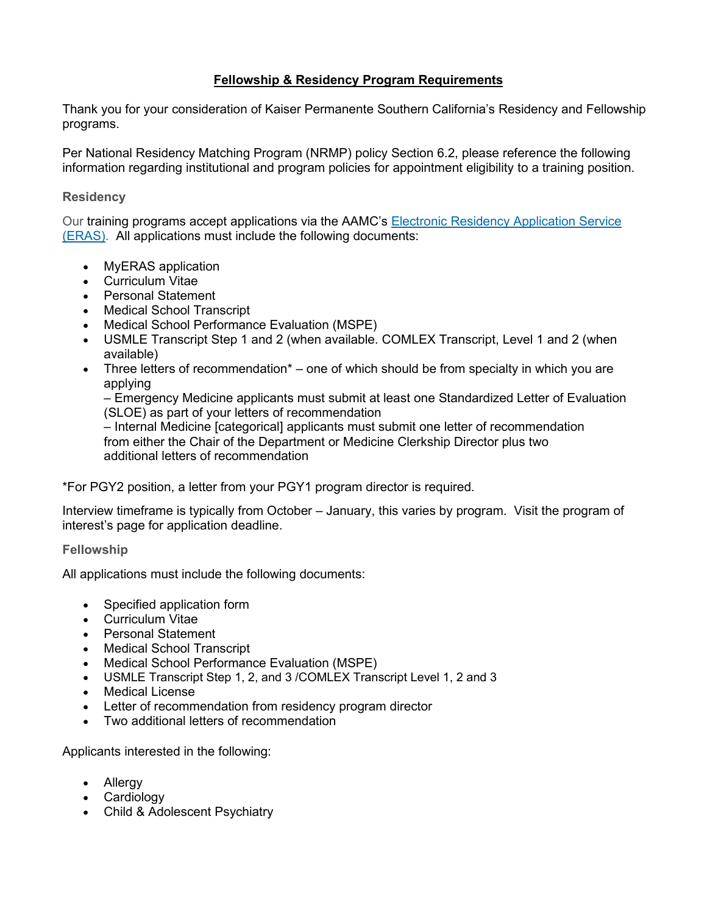## **Fellowship & Residency Program Requirements**

Thank you for your consideration of Kaiser Permanente Southern California's Residency and Fellowship programs.

Per National Residency Matching Program (NRMP) policy Section 6.2, please reference the following information regarding institutional and program policies for appointment eligibility to a training position.

#### **Residency**

Our training programs accept applications via the AAMC's [Electronic Residency Application Service](https://www.aamc.org/students/medstudents/eras/)  [\(ERAS\).](https://www.aamc.org/students/medstudents/eras/) All applications must include the following documents:

- MyERAS application
- Curriculum Vitae
- Personal Statement
- Medical School Transcript
- Medical School Performance Evaluation (MSPE)
- USMLE Transcript Step 1 and 2 (when available. COMLEX Transcript, Level 1 and 2 (when available)
- Three letters of recommendation<sup>\*</sup> one of which should be from specialty in which you are applying

– Emergency Medicine applicants must submit at least one Standardized Letter of Evaluation (SLOE) as part of your letters of recommendation

– Internal Medicine [categorical] applicants must submit one letter of recommendation from either the Chair of the Department or Medicine Clerkship Director plus two additional letters of recommendation

\*For PGY2 position, a letter from your PGY1 program director is required.

Interview timeframe is typically from October – January, this varies by program. Visit the program of interest's page for application deadline.

**Fellowship**

All applications must include the following documents:

- Specified application form
- Curriculum Vitae
- Personal Statement
- Medical School Transcript
- Medical School Performance Evaluation (MSPE)
- USMLE Transcript Step 1, 2, and 3 /COMLEX Transcript Level 1, 2 and 3
- Medical License
- Letter of recommendation from residency program director
- Two additional letters of recommendation

Applicants interested in the following:

- Allergy
- Cardiology
- Child & Adolescent Psychiatry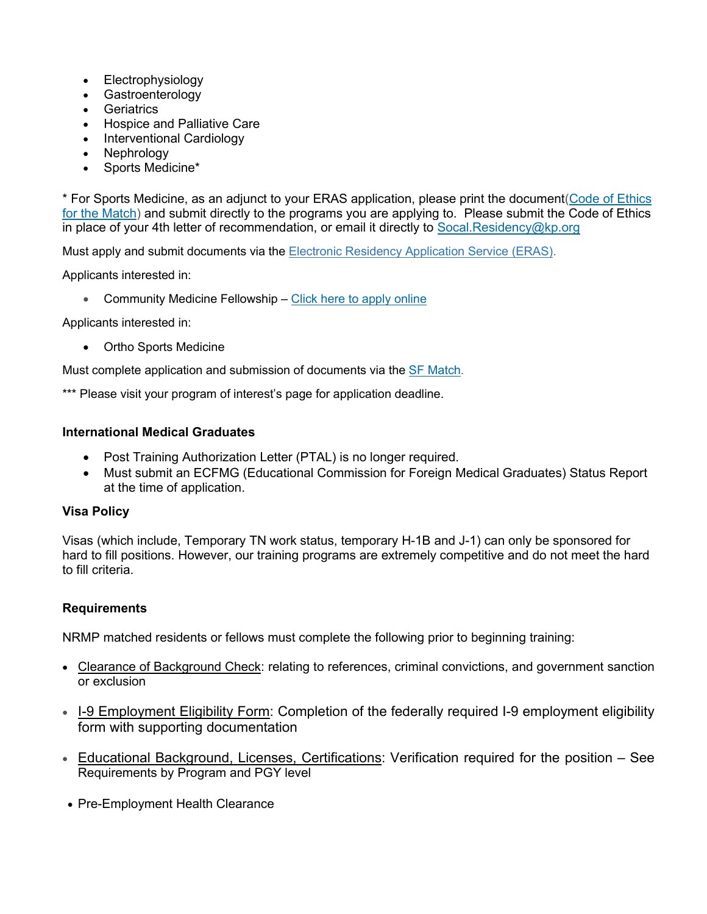- Electrophysiology
- **Gastroenterology**
- **Geriatrics**
- Hospice and Palliative Care
- Interventional Cardiology
- Nephrology
- Sports Medicine\*

\* For Sports Medicine, as an adjunct to your ERAS application, please print the document[\(Code of Ethics](http://www.amssm.org/Content/pdf%20files/Code_Ethics_4_Match-ERAS.pdf)  [for the Match\)](http://www.amssm.org/Content/pdf%20files/Code_Ethics_4_Match-ERAS.pdf) and submit directly to the programs you are applying to. Please submit the Code of Ethics in place of your 4th letter of recommendation, or email it directly to [Socal.Residency@kp.org](mailto:Socal.Residency@kp.org)

Must apply and submit documents via the [Electronic Residency Application Service \(ERAS\).](https://www.aamc.org/students/medstudents/eras/)

Applicants interested in:

• Community Medicine Fellowship – [Click here to apply online](http://residency-scal-kaiserpermanente.org/fellowship/communitymedicine/apply-online/)

Applicants interested in:

• Ortho Sports Medicine

Must complete application and submission of documents via the [SF Match.](https://www.sfmatch.org/SpecialtyInsideAll.aspx?id=11&typ=1&name=Orthopaedic%20Sports%20Medicine)

\*\*\* Please visit your program of interest's page for application deadline.

### **International Medical Graduates**

- Post Training Authorization Letter (PTAL) is no longer required.
- Must submit an ECFMG (Educational Commission for Foreign Medical Graduates) Status Report at the time of application.

### **Visa Policy**

Visas (which include, Temporary TN work status, temporary H-1B and J-1) can only be sponsored for hard to fill positions. However, our training programs are extremely competitive and do not meet the hard to fill criteria.

### **Requirements**

NRMP matched residents or fellows must complete the following prior to beginning training:

- Clearance of Background Check: relating to references, criminal convictions, and government sanction or exclusion
- I-9 Employment Eligibility Form: Completion of the federally required I-9 employment eligibility form with supporting documentation
- Educational Background, Licenses, Certifications: Verification required for the position See Requirements by Program and PGY level
- Pre-Employment Health Clearance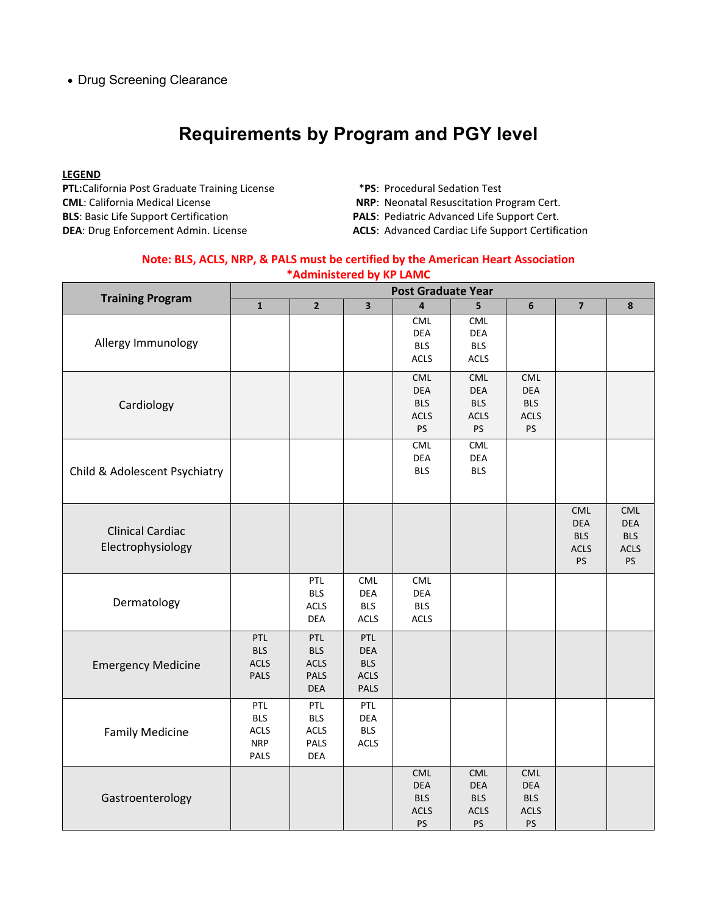• Drug Screening Clearance

# **Requirements by Program and PGY level**

#### **LEGEND**

**PTL:**California Post Graduate Training License \***PS**: Procedural Sedation Test **CML**: California Medical License **NRP**: Neonatal Resuscitation Program Cert. **BLS**: Basic Life Support Certification **PALS**: Pediatric Advanced Life Support Cert.

- 
- 
- 
- **DEA**: Drug Enforcement Admin. License **ACLS**: Advanced Cardiac Life Support Certification

#### **Note: BLS, ACLS, NRP, & PALS must be certified by the American Heart Association \*Administered by KP LAMC**

| <b>Training Program</b>                      | <b>Post Graduate Year</b>                       |                                                        |                                                               |                                                             |                                                             |                                                             |                                                             |                                                             |
|----------------------------------------------|-------------------------------------------------|--------------------------------------------------------|---------------------------------------------------------------|-------------------------------------------------------------|-------------------------------------------------------------|-------------------------------------------------------------|-------------------------------------------------------------|-------------------------------------------------------------|
|                                              | $\mathbf{1}$                                    | $\overline{2}$                                         | $\overline{\mathbf{3}}$                                       | $\overline{4}$                                              | 5                                                           | $6\phantom{1}$                                              | $\overline{7}$                                              | $\pmb{8}$                                                   |
| Allergy Immunology                           |                                                 |                                                        |                                                               | CML<br><b>DEA</b><br><b>BLS</b><br><b>ACLS</b>              | <b>CML</b><br>DEA<br><b>BLS</b><br><b>ACLS</b>              |                                                             |                                                             |                                                             |
| Cardiology                                   |                                                 |                                                        |                                                               | CML<br><b>DEA</b><br><b>BLS</b><br><b>ACLS</b><br>PS        | CML<br><b>DEA</b><br><b>BLS</b><br><b>ACLS</b><br>PS        | <b>CML</b><br><b>DEA</b><br><b>BLS</b><br><b>ACLS</b><br>PS |                                                             |                                                             |
| Child & Adolescent Psychiatry                |                                                 |                                                        |                                                               | CML<br><b>DEA</b><br><b>BLS</b>                             | CML<br>DEA<br><b>BLS</b>                                    |                                                             |                                                             |                                                             |
| <b>Clinical Cardiac</b><br>Electrophysiology |                                                 |                                                        |                                                               |                                                             |                                                             |                                                             | <b>CML</b><br><b>DEA</b><br><b>BLS</b><br><b>ACLS</b><br>PS | CML<br><b>DEA</b><br><b>BLS</b><br><b>ACLS</b><br><b>PS</b> |
| Dermatology                                  |                                                 | PTL<br><b>BLS</b><br><b>ACLS</b><br>DEA                | CML<br><b>DEA</b><br><b>BLS</b><br><b>ACLS</b>                | CML<br>DEA<br><b>BLS</b><br><b>ACLS</b>                     |                                                             |                                                             |                                                             |                                                             |
| <b>Emergency Medicine</b>                    | PTL<br><b>BLS</b><br><b>ACLS</b><br>PALS        | PTL<br><b>BLS</b><br><b>ACLS</b><br>PALS<br>DEA        | PTL<br><b>DEA</b><br><b>BLS</b><br><b>ACLS</b><br><b>PALS</b> |                                                             |                                                             |                                                             |                                                             |                                                             |
| <b>Family Medicine</b>                       | PTL<br><b>BLS</b><br>ACLS<br><b>NRP</b><br>PALS | PTL<br><b>BLS</b><br><b>ACLS</b><br>PALS<br><b>DEA</b> | PTL<br><b>DEA</b><br><b>BLS</b><br><b>ACLS</b>                |                                                             |                                                             |                                                             |                                                             |                                                             |
| Gastroenterology                             |                                                 |                                                        |                                                               | <b>CML</b><br><b>DEA</b><br><b>BLS</b><br><b>ACLS</b><br>PS | <b>CML</b><br><b>DEA</b><br><b>BLS</b><br><b>ACLS</b><br>PS | <b>CML</b><br><b>DEA</b><br><b>BLS</b><br><b>ACLS</b><br>PS |                                                             |                                                             |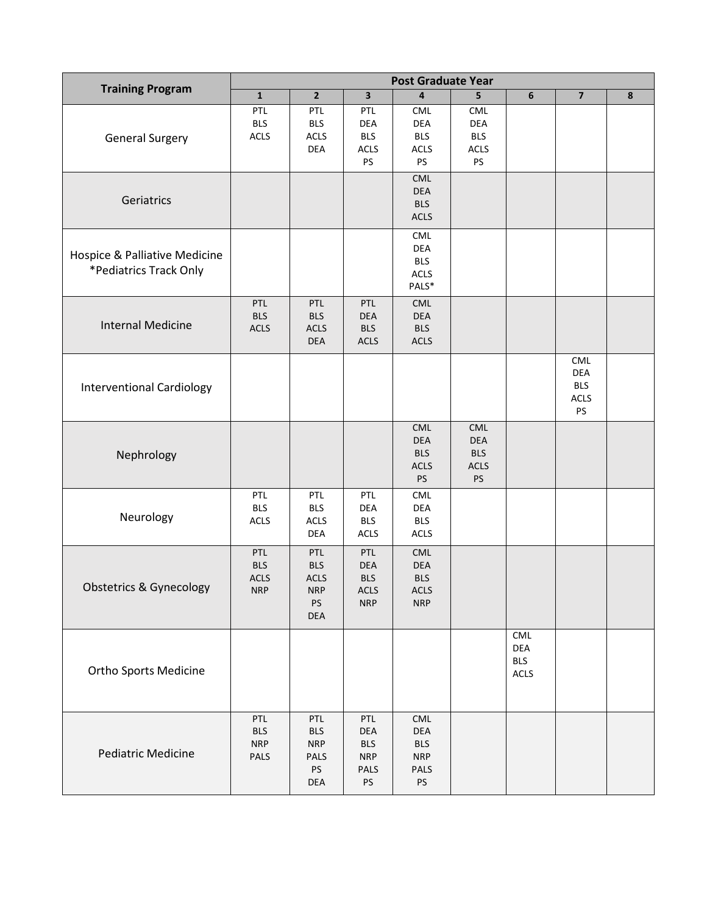| <b>Training Program</b>                                 | <b>Post Graduate Year</b>                      |                                                                    |                                                              |                                                             |                                                      |                                  |                                                      |           |
|---------------------------------------------------------|------------------------------------------------|--------------------------------------------------------------------|--------------------------------------------------------------|-------------------------------------------------------------|------------------------------------------------------|----------------------------------|------------------------------------------------------|-----------|
|                                                         | $\mathbf{1}$                                   | $\overline{2}$                                                     | $\overline{\mathbf{3}}$                                      | 4                                                           | 5                                                    | $\bf 6$                          | $\overline{7}$                                       | $\pmb{8}$ |
| <b>General Surgery</b>                                  | PTL<br><b>BLS</b><br>$\sf ACLS$                | PTL<br><b>BLS</b><br><b>ACLS</b><br>DEA                            | PTL<br><b>DEA</b><br><b>BLS</b><br><b>ACLS</b><br>PS         | <b>CML</b><br>DEA<br><b>BLS</b><br><b>ACLS</b><br>PS        | <b>CML</b><br><b>DEA</b><br><b>BLS</b><br>ACLS<br>PS |                                  |                                                      |           |
| Geriatrics                                              |                                                |                                                                    |                                                              | CML<br>DEA<br><b>BLS</b><br><b>ACLS</b>                     |                                                      |                                  |                                                      |           |
| Hospice & Palliative Medicine<br>*Pediatrics Track Only |                                                |                                                                    |                                                              | CML<br>DEA<br><b>BLS</b><br><b>ACLS</b><br>PALS*            |                                                      |                                  |                                                      |           |
| <b>Internal Medicine</b>                                | PTL<br><b>BLS</b><br>ACLS                      | PTL<br><b>BLS</b><br>ACLS<br><b>DEA</b>                            | PTL<br><b>DEA</b><br><b>BLS</b><br><b>ACLS</b>               | <b>CML</b><br>DEA<br><b>BLS</b><br><b>ACLS</b>              |                                                      |                                  |                                                      |           |
| <b>Interventional Cardiology</b>                        |                                                |                                                                    |                                                              |                                                             |                                                      |                                  | <b>CML</b><br><b>DEA</b><br><b>BLS</b><br>ACLS<br>PS |           |
| Nephrology                                              |                                                |                                                                    |                                                              | CML<br>DEA<br><b>BLS</b><br><b>ACLS</b><br><b>PS</b>        | CML<br><b>DEA</b><br><b>BLS</b><br>ACLS<br>PS        |                                  |                                                      |           |
| Neurology                                               | PTL<br><b>BLS</b><br>ACLS                      | PTL<br><b>BLS</b><br><b>ACLS</b><br>DEA                            | PTL<br>DEA<br><b>BLS</b><br><b>ACLS</b>                      | CML<br>DEA<br><b>BLS</b><br><b>ACLS</b>                     |                                                      |                                  |                                                      |           |
| Obstetrics & Gynecology                                 | PTL<br><b>BLS</b><br><b>ACLS</b><br><b>NRP</b> | PTL<br><b>BLS</b><br>ACLS<br><b>NRP</b><br><b>PS</b><br><b>DEA</b> | PTL<br><b>DEA</b><br><b>BLS</b><br><b>ACLS</b><br><b>NRP</b> | CML<br>$DEA$<br><b>BLS</b><br><b>ACLS</b><br><b>NRP</b>     |                                                      |                                  |                                                      |           |
| <b>Ortho Sports Medicine</b>                            |                                                |                                                                    |                                                              |                                                             |                                                      | CML<br>DEA<br><b>BLS</b><br>ACLS |                                                      |           |
| <b>Pediatric Medicine</b>                               | PTL<br><b>BLS</b><br><b>NRP</b><br>PALS        | PTL<br><b>BLS</b><br><b>NRP</b><br>PALS<br><b>PS</b><br>DEA        | PTL<br>DEA<br><b>BLS</b><br><b>NRP</b><br><b>PALS</b><br>PS  | CML<br>DEA<br><b>BLS</b><br><b>NRP</b><br>PALS<br><b>PS</b> |                                                      |                                  |                                                      |           |